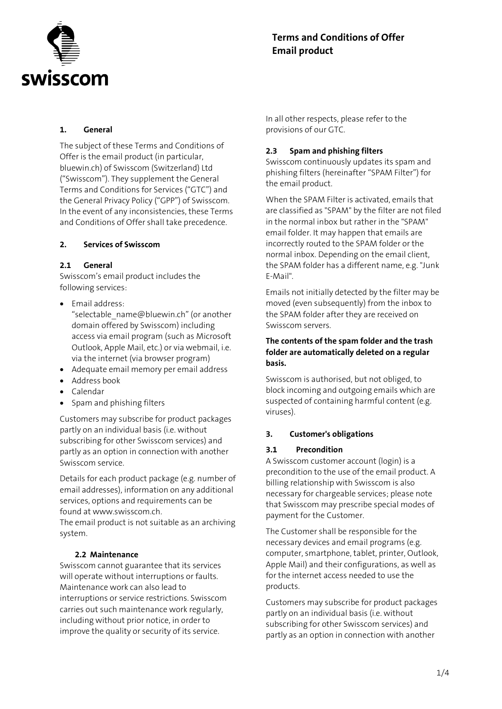

# Terms and Conditions of Offer Email product

# 1. General

The subject of these Terms and Conditions of Offer is the email product (in particular, bluewin.ch) of Swisscom (Switzerland) Ltd ("Swisscom"). They supplement the General Terms and Conditions for Services ("GTC") and the General Privacy Policy ("GPP") of Swisscom. In the event of any inconsistencies, these Terms and Conditions of Offer shall take precedence.

## 2. Services of Swisscom

# 2.1 General

Swisscom's email product includes the following services:

- $\bullet$  Email address:
	- "selectable\_name@bluewin.ch" (or another domain offered by Swisscom) including access via email program (such as Microsoft Outlook, Apple Mail, etc.) or via webmail, i.e. via the internet (via browser program)
- Adequate email memory per email address
- Address book
- Calendar
- Spam and phishing filters

Customers may subscribe for product packages partly on an individual basis (i.e. without subscribing for other Swisscom services) and partly as an option in connection with another Swisscom service.

Details for each product package (e.g. number of email addresses), information on any additional services, options and requirements can be found at www.swisscom.ch.

The email product is not suitable as an archiving system.

## 2.2 Maintenance

Swisscom cannot guarantee that its services will operate without interruptions or faults. Maintenance work can also lead to interruptions or service restrictions. Swisscom carries out such maintenance work regularly, including without prior notice, in order to improve the quality or security of its service.

In all other respects, please refer to the provisions of our GTC.

# 2.3 Spam and phishing filters

Swisscom continuously updates its spam and phishing filters (hereinafter "SPAM Filter") for the email product.

When the SPAM Filter is activated, emails that are classified as "SPAM" by the filter are not filed in the normal inbox but rather in the "SPAM" email folder. It may happen that emails are incorrectly routed to the SPAM folder or the normal inbox. Depending on the email client, the SPAM folder has a different name, e.g. "Junk E-Mail".

Emails not initially detected by the filter may be moved (even subsequently) from the inbox to the SPAM folder after they are received on Swisscom servers.

## The contents of the spam folder and the trash folder are automatically deleted on a regular basis.

Swisscom is authorised, but not obliged, to block incoming and outgoing emails which are suspected of containing harmful content (e.g. viruses).

## 3. Customer's obligations

## 3.1 Precondition

A Swisscom customer account (login) is a precondition to the use of the email product. A billing relationship with Swisscom is also necessary for chargeable services; please note that Swisscom may prescribe special modes of payment for the Customer.

The Customer shall be responsible for the necessary devices and email programs (e.g. computer, smartphone, tablet, printer, Outlook, Apple Mail) and their configurations, as well as for the internet access needed to use the products.

Customers may subscribe for product packages partly on an individual basis (i.e. without subscribing for other Swisscom services) and partly as an option in connection with another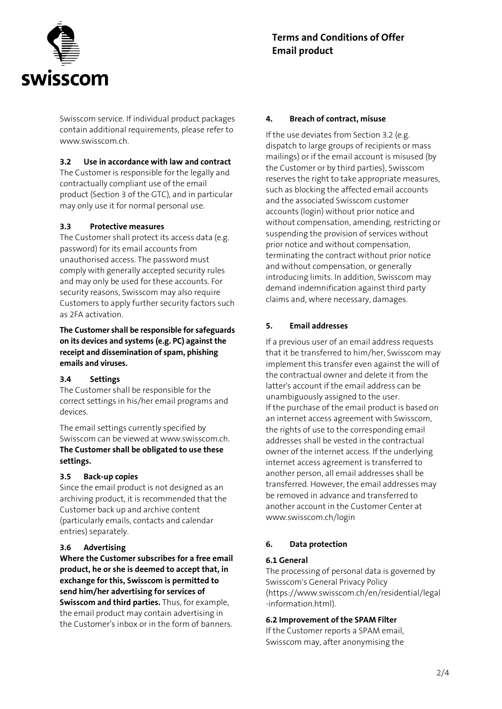

Swisscom service. If individual product packages contain additional requirements, please refer to www.swisscom.ch.

# 3.2 Use in accordance with law and contract

The Customer is responsible for the legally and contractually compliant use of the email product (Section 3 of the GTC), and in particular may only use it for normal personal use.

## 3.3 Protective measures

The Customer shall protect its access data (e.g. password) for its email accounts from unauthorised access. The password must comply with generally accepted security rules and may only be used for these accounts. For security reasons, Swisscom may also require Customers to apply further security factors such as 2FA activation.

The Customer shall be responsible for safeguards on its devices and systems (e.g. PC) against the receipt and dissemination of spam, phishing emails and viruses.

# 3.4 Settings

The Customer shall be responsible for the correct settings in his/her email programs and devices.

The email settings currently specified by Swisscom can be viewed at www.swisscom.ch. The Customer shall be obligated to use these settings.

## 3.5 Back-up copies

Since the email product is not designed as an archiving product, it is recommended that the Customer back up and archive content (particularly emails, contacts and calendar entries) separately.

## 3.6 Advertising

Where the Customer subscribes for a free email product, he or she is deemed to accept that, in exchange for this, Swisscom is permitted to send him/her advertising for services of Swisscom and third parties. Thus, for example, the email product may contain advertising in the Customer's inbox or in the form of banners.

#### 4. Breach of contract, misuse

If the use deviates from Section 3.2 (e.g. dispatch to large groups of recipients or mass mailings) or if the email account is misused (by the Customer or by third parties), Swisscom reserves the right to take appropriate measures, such as blocking the affected email accounts and the associated Swisscom customer accounts (login) without prior notice and without compensation, amending, restricting or suspending the provision of services without prior notice and without compensation, terminating the contract without prior notice and without compensation, or generally introducing limits. In addition, Swisscom may demand indemnification against third party claims and, where necessary, damages.

## 5. Email addresses

If a previous user of an email address requests that it be transferred to him/her, Swisscom may implement this transfer even against the will of the contractual owner and delete it from the latter's account if the email address can be unambiguously assigned to the user. If the purchase of the email product is based on an internet access agreement with Swisscom, the rights of use to the corresponding email addresses shall be vested in the contractual owner of the internet access. If the underlying internet access agreement is transferred to another person, all email addresses shall be transferred. However, the email addresses may be removed in advance and transferred to another account in the Customer Center at www.swisscom.ch/login

## 6. Data protection

## 6.1 General

The processing of personal data is governed by Swisscom's General Privacy Policy (https://www.swisscom.ch/en/residential/legal -information.html).

## 6.2 Improvement of the SPAM Filter

If the Customer reports a SPAM email, Swisscom may, after anonymising the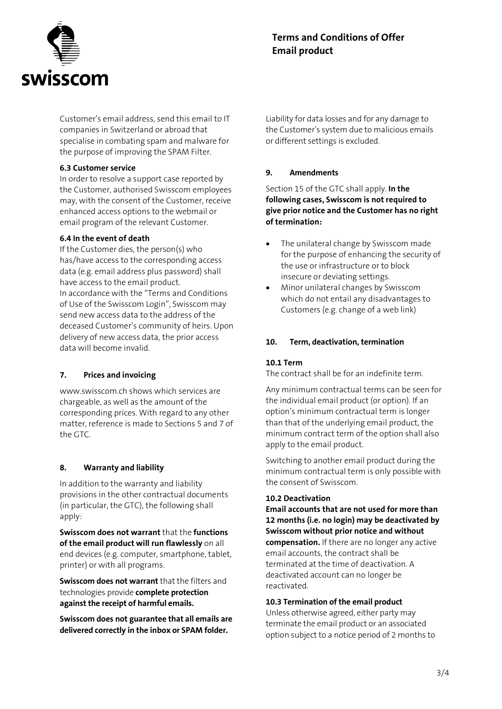

Customer's email address, send this email to IT companies in Switzerland or abroad that specialise in combating spam and malware for the purpose of improving the SPAM Filter.

# 6.3 Customer service

In order to resolve a support case reported by the Customer, authorised Swisscom employees may, with the consent of the Customer, receive enhanced access options to the webmail or email program of the relevant Customer.

## 6.4 In the event of death

If the Customer dies, the person(s) who has/have access to the corresponding access data (e.g. email address plus password) shall have access to the email product. In accordance with the "Terms and Conditions of Use of the Swisscom Login", Swisscom may send new access data to the address of the deceased Customer's community of heirs. Upon delivery of new access data, the prior access data will become invalid.

## 7. Prices and invoicing

www.swisscom.ch shows which services are chargeable, as well as the amount of the corresponding prices. With regard to any other matter, reference is made to Sections 5 and 7 of the GTC.

## 8. Warranty and liability

In addition to the warranty and liability provisions in the other contractual documents (in particular, the GTC), the following shall apply:

Swisscom does not warrant that the functions of the email product will run flawlessly on all end devices (e.g. computer, smartphone, tablet, printer) or with all programs.

Swisscom does not warrant that the filters and technologies provide complete protection against the receipt of harmful emails.

Swisscom does not guarantee that all emails are delivered correctly in the inbox or SPAM folder.

Liability for data losses and for any damage to the Customer's system due to malicious emails or different settings is excluded.

#### 9. Amendments

Section 15 of the GTC shall apply. In the following cases, Swisscom is not required to give prior notice and the Customer has no right of termination:

- The unilateral change by Swisscom made for the purpose of enhancing the security of the use or infrastructure or to block insecure or deviating settings.
- Minor unilateral changes by Swisscom which do not entail any disadvantages to Customers (e.g. change of a web link)

## 10. Term, deactivation, termination

## 10.1 Term

The contract shall be for an indefinite term.

Any minimum contractual terms can be seen for the individual email product (or option). If an option's minimum contractual term is longer than that of the underlying email product, the minimum contract term of the option shall also apply to the email product.

Switching to another email product during the minimum contractual term is only possible with the consent of Swisscom.

#### 10.2 Deactivation

Email accounts that are not used for more than 12 months (i.e. no login) may be deactivated by Swisscom without prior notice and without compensation. If there are no longer any active email accounts, the contract shall be terminated at the time of deactivation. A deactivated account can no longer be reactivated.

#### 10.3 Termination of the email product

Unless otherwise agreed, either party may terminate the email product or an associated option subject to a notice period of 2 months to